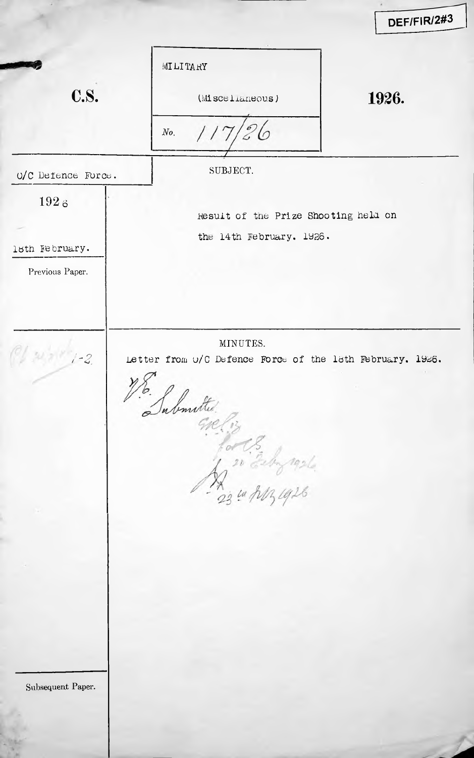|                                           |                                                                                                                          | DEF/FIR/2#3 |
|-------------------------------------------|--------------------------------------------------------------------------------------------------------------------------|-------------|
| <b>C.S.</b>                               | <b>YHAT LI LM</b><br>(Miscelianeous)<br>No.                                                                              | 1926.       |
| O/C Defence Force.                        | SUBJECT.                                                                                                                 |             |
| 1926<br>lsth February.<br>Previous Paper. | Result of the Prize Shooting held on<br>the 14th February. 1926.                                                         |             |
| $1 - 2$                                   | MINUTES.<br>Letter from o/C Defence Force of the lath February. 1926.<br>$\ddot{\cdot}$<br>Tubmitted.<br>1 20 Estra 1926 |             |
|                                           |                                                                                                                          |             |
| Subsequent Paper.                         |                                                                                                                          |             |
|                                           |                                                                                                                          |             |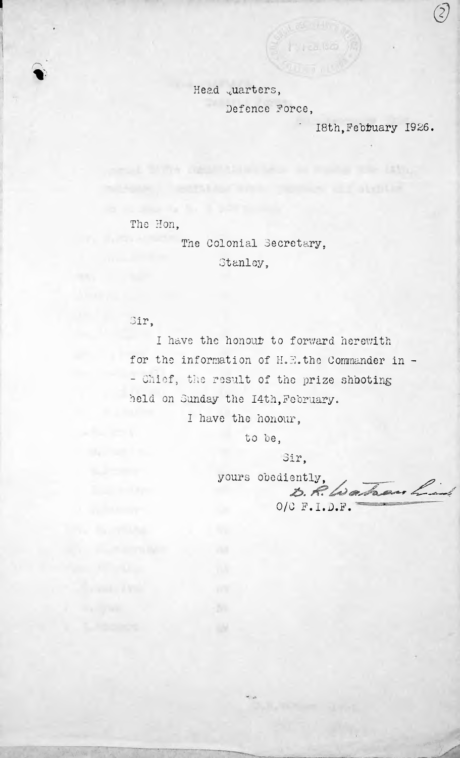Head quarters, Defence Force,

**C**hvrca.80

18th.February 1926.

*(?)*

....

The Hon,

I

**I**

r\ %•

> The Colonial Secretary, Stanley,

Sir,

I have the honout to forward herewith for the information of  $H_s \mathbb{E}$ . the Commander in -- Chief, the result of the prize shooting held on Sunday the I4th,February.

I have the honour,

to he,

Sir,

yours obediently, *J&.A?*—*/*

O/C F.I.D.F.